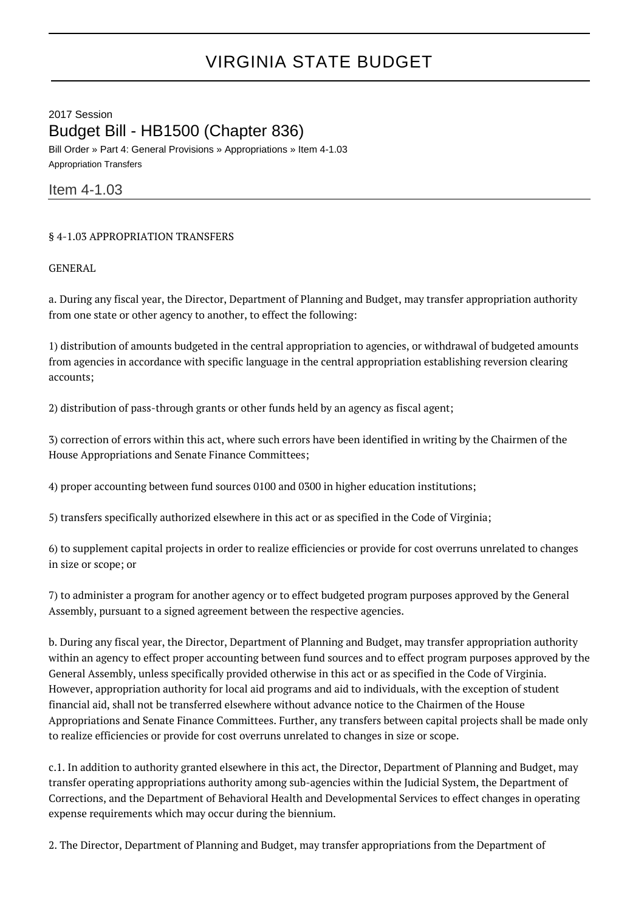## VIRGINIA STATE BUDGET

2017 Session Budget Bill - HB1500 (Chapter 836) Bill Order » Part 4: General Provisions » Appropriations » Item 4-1.03

Appropriation Transfers

Item 4-1.03

## § 4-1.03 APPROPRIATION TRANSFERS

GENERAL

a. During any fiscal year, the Director, Department of Planning and Budget, may transfer appropriation authority from one state or other agency to another, to effect the following:

1) distribution of amounts budgeted in the central appropriation to agencies, or withdrawal of budgeted amounts from agencies in accordance with specific language in the central appropriation establishing reversion clearing accounts;

2) distribution of pass-through grants or other funds held by an agency as fiscal agent;

3) correction of errors within this act, where such errors have been identified in writing by the Chairmen of the House Appropriations and Senate Finance Committees;

4) proper accounting between fund sources 0100 and 0300 in higher education institutions;

5) transfers specifically authorized elsewhere in this act or as specified in the Code of Virginia;

6) to supplement capital projects in order to realize efficiencies or provide for cost overruns unrelated to changes in size or scope; or

7) to administer a program for another agency or to effect budgeted program purposes approved by the General Assembly, pursuant to a signed agreement between the respective agencies.

b. During any fiscal year, the Director, Department of Planning and Budget, may transfer appropriation authority within an agency to effect proper accounting between fund sources and to effect program purposes approved by the General Assembly, unless specifically provided otherwise in this act or as specified in the Code of Virginia. However, appropriation authority for local aid programs and aid to individuals, with the exception of student financial aid, shall not be transferred elsewhere without advance notice to the Chairmen of the House Appropriations and Senate Finance Committees. Further, any transfers between capital projects shall be made only to realize efficiencies or provide for cost overruns unrelated to changes in size or scope.

c.1. In addition to authority granted elsewhere in this act, the Director, Department of Planning and Budget, may transfer operating appropriations authority among sub-agencies within the Judicial System, the Department of Corrections, and the Department of Behavioral Health and Developmental Services to effect changes in operating expense requirements which may occur during the biennium.

2. The Director, Department of Planning and Budget, may transfer appropriations from the Department of